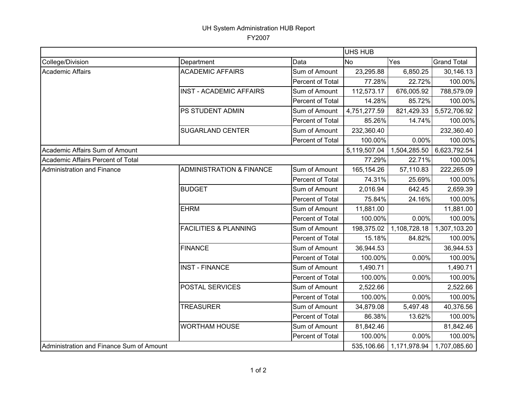## UH System Administration HUB Report

FY2007

|                                          |                                     |                  | UHS HUB      |              |                    |
|------------------------------------------|-------------------------------------|------------------|--------------|--------------|--------------------|
| College/Division                         | Department                          | Data             | No           | Yes          | <b>Grand Total</b> |
| Academic Affairs                         | <b>ACADEMIC AFFAIRS</b>             | Sum of Amount    | 23,295.88    | 6,850.25     | 30,146.13          |
|                                          |                                     | Percent of Total | 77.28%       | 22.72%       | 100.00%            |
|                                          | <b>INST - ACADEMIC AFFAIRS</b>      | Sum of Amount    | 112,573.17   | 676,005.92   | 788,579.09         |
|                                          |                                     | Percent of Total | 14.28%       | 85.72%       | 100.00%            |
|                                          | PS STUDENT ADMIN                    | Sum of Amount    | 4,751,277.59 | 821,429.33   | 5,572,706.92       |
|                                          |                                     | Percent of Total | 85.26%       | 14.74%       | 100.00%            |
|                                          | <b>SUGARLAND CENTER</b>             | Sum of Amount    | 232,360.40   |              | 232,360.40         |
|                                          |                                     | Percent of Total | 100.00%      | 0.00%        | 100.00%            |
| Academic Affairs Sum of Amount           |                                     |                  | 5,119,507.04 | 1,504,285.50 | 6,623,792.54       |
| Academic Affairs Percent of Total        |                                     |                  | 77.29%       | 22.71%       | 100.00%            |
| <b>Administration and Finance</b>        | <b>ADMINISTRATION &amp; FINANCE</b> | Sum of Amount    | 165,154.26   | 57,110.83    | 222,265.09         |
|                                          |                                     | Percent of Total | 74.31%       | 25.69%       | 100.00%            |
|                                          | <b>BUDGET</b>                       | Sum of Amount    | 2,016.94     | 642.45       | 2,659.39           |
|                                          |                                     | Percent of Total | 75.84%       | 24.16%       | 100.00%            |
|                                          | <b>EHRM</b>                         | Sum of Amount    | 11,881.00    |              | 11,881.00          |
|                                          |                                     | Percent of Total | 100.00%      | 0.00%        | 100.00%            |
|                                          | <b>FACILITIES &amp; PLANNING</b>    | Sum of Amount    | 198,375.02   | 1,108,728.18 | 1,307,103.20       |
|                                          |                                     | Percent of Total | 15.18%       | 84.82%       | 100.00%            |
|                                          | <b>FINANCE</b>                      | Sum of Amount    | 36,944.53    |              | 36,944.53          |
|                                          |                                     | Percent of Total | 100.00%      | 0.00%        | 100.00%            |
|                                          | <b>INST - FINANCE</b>               | Sum of Amount    | 1,490.71     |              | 1,490.71           |
|                                          |                                     | Percent of Total | 100.00%      | 0.00%        | 100.00%            |
|                                          | POSTAL SERVICES                     | Sum of Amount    | 2,522.66     |              | 2,522.66           |
|                                          |                                     | Percent of Total | 100.00%      | 0.00%        | 100.00%            |
|                                          | <b>TREASURER</b>                    | Sum of Amount    | 34,879.08    | 5,497.48     | 40,376.56          |
|                                          |                                     | Percent of Total | 86.38%       | 13.62%       | 100.00%            |
|                                          | <b>WORTHAM HOUSE</b>                | Sum of Amount    | 81,842.46    |              | 81,842.46          |
|                                          |                                     | Percent of Total | 100.00%      | 0.00%        | 100.00%            |
| Administration and Finance Sum of Amount |                                     |                  | 535,106.66   | 1,171,978.94 | 1,707,085.60       |